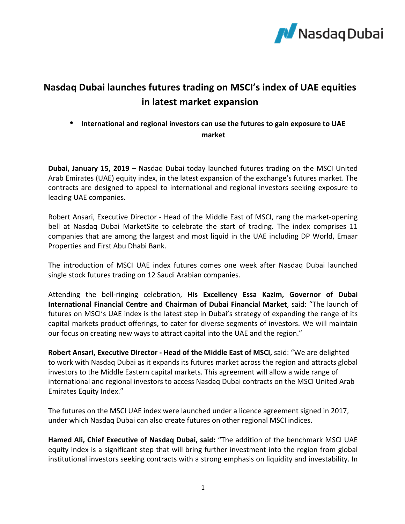

## **Nasdaq Dubai launches futures trading on MSCI's index of UAE equities in latest market expansion**

## • International and regional investors can use the futures to gain exposure to UAE **market**

**Dubai, January 15, 2019** – Nasdaq Dubai today launched futures trading on the MSCI United Arab Emirates (UAE) equity index, in the latest expansion of the exchange's futures market. The contracts are designed to appeal to international and regional investors seeking exposure to leading UAE companies.

Robert Ansari, Executive Director - Head of the Middle East of MSCI, rang the market-opening bell at Nasdaq Dubai MarketSite to celebrate the start of trading. The index comprises 11 companies that are among the largest and most liquid in the UAE including DP World, Emaar Properties and First Abu Dhabi Bank.

The introduction of MSCI UAE index futures comes one week after Nasdaq Dubai launched single stock futures trading on 12 Saudi Arabian companies.

Attending the bell-ringing celebration, **His Excellency Essa Kazim, Governor of Dubai International Financial Centre and Chairman of Dubai Financial Market**, said: "The launch of futures on MSCI's UAE index is the latest step in Dubai's strategy of expanding the range of its capital markets product offerings, to cater for diverse segments of investors. We will maintain our focus on creating new ways to attract capital into the UAE and the region."

Robert Ansari, Executive Director - Head of the Middle East of MSCI, said: "We are delighted to work with Nasdaq Dubai as it expands its futures market across the region and attracts global investors to the Middle Eastern capital markets. This agreement will allow a wide range of international and regional investors to access Nasdaq Dubai contracts on the MSCI United Arab Emirates Equity Index."

The futures on the MSCI UAE index were launched under a licence agreement signed in 2017, under which Nasdaq Dubai can also create futures on other regional MSCI indices.

Hamed Ali, Chief Executive of Nasdaq Dubai, said: "The addition of the benchmark MSCI UAE equity index is a significant step that will bring further investment into the region from global institutional investors seeking contracts with a strong emphasis on liquidity and investability. In